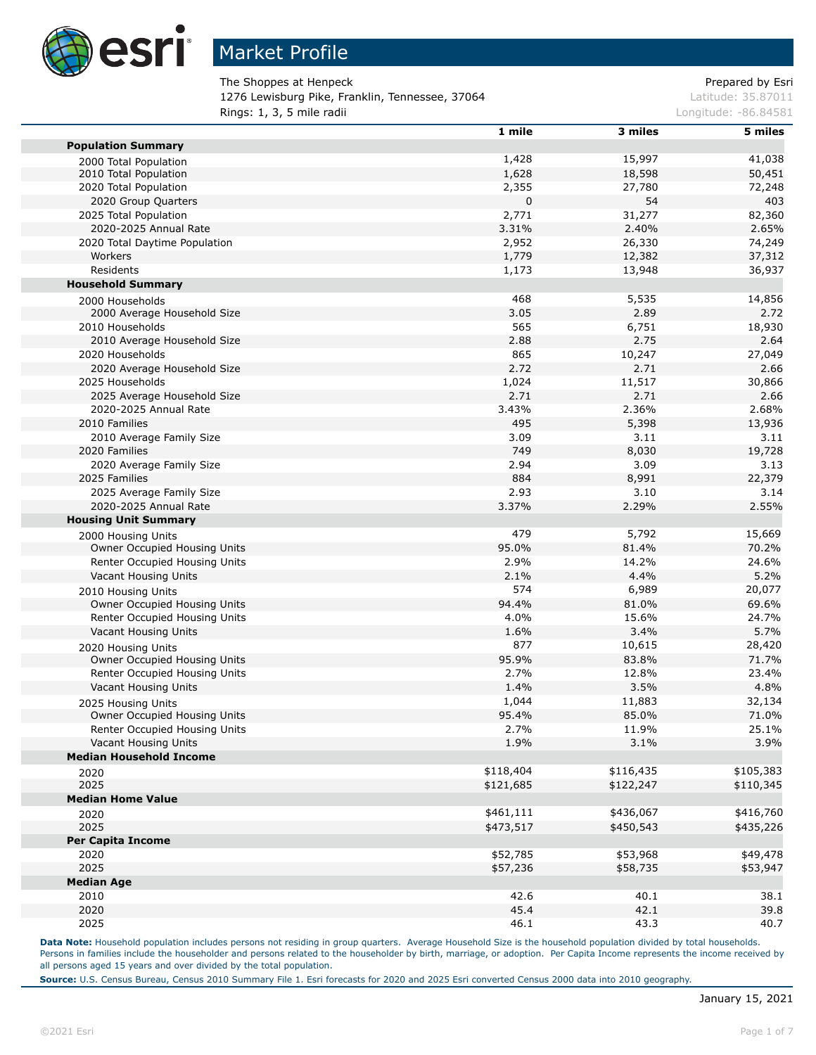

The Shoppes at Henpeck **Prepared by Esri** Prepared by Esri 1276 Lewisburg Pike, Franklin, Tennessee, 37064 Latitude: 35.87011 **Rings: 1, 3, 5 mile radii Longitude: -86.84581 Longitude: -86.84581** 

|                                     | 1 mile    | 3 miles   | 5 miles   |
|-------------------------------------|-----------|-----------|-----------|
| <b>Population Summary</b>           |           |           |           |
| 2000 Total Population               | 1,428     | 15,997    | 41,038    |
| 2010 Total Population               | 1,628     | 18,598    | 50,451    |
| 2020 Total Population               | 2,355     | 27,780    | 72,248    |
| 2020 Group Quarters                 | $\Omega$  | 54        | 403       |
| 2025 Total Population               | 2,771     | 31,277    | 82,360    |
| 2020-2025 Annual Rate               | 3.31%     | 2.40%     | 2.65%     |
| 2020 Total Daytime Population       | 2,952     | 26,330    | 74,249    |
| Workers                             | 1,779     | 12,382    | 37,312    |
| Residents                           | 1,173     | 13,948    | 36,937    |
| <b>Household Summary</b>            |           |           |           |
| 2000 Households                     | 468       | 5,535     | 14,856    |
| 2000 Average Household Size         | 3.05      | 2.89      | 2.72      |
| 2010 Households                     | 565       | 6,751     | 18,930    |
| 2010 Average Household Size         | 2.88      | 2.75      | 2.64      |
| 2020 Households                     | 865       | 10,247    | 27,049    |
| 2020 Average Household Size         | 2.72      | 2.71      | 2.66      |
| 2025 Households                     | 1,024     | 11,517    | 30,866    |
| 2025 Average Household Size         | 2.71      | 2.71      | 2.66      |
| 2020-2025 Annual Rate               | 3.43%     | 2.36%     | 2.68%     |
| 2010 Families                       | 495       | 5,398     | 13,936    |
| 2010 Average Family Size            | 3.09      | 3.11      | 3.11      |
| 2020 Families                       | 749       | 8,030     | 19,728    |
| 2020 Average Family Size            | 2.94      | 3.09      | 3.13      |
| 2025 Families                       | 884       | 8,991     | 22,379    |
| 2025 Average Family Size            | 2.93      | 3.10      | 3.14      |
| 2020-2025 Annual Rate               | 3.37%     | 2.29%     | 2.55%     |
| <b>Housing Unit Summary</b>         |           |           |           |
| 2000 Housing Units                  | 479       | 5,792     | 15,669    |
| Owner Occupied Housing Units        | 95.0%     | 81.4%     | 70.2%     |
| Renter Occupied Housing Units       | 2.9%      | 14.2%     | 24.6%     |
| Vacant Housing Units                | 2.1%      | 4.4%      | 5.2%      |
| 2010 Housing Units                  | 574       | 6,989     | 20,077    |
| Owner Occupied Housing Units        | 94.4%     | 81.0%     | 69.6%     |
| Renter Occupied Housing Units       | 4.0%      | 15.6%     | 24.7%     |
| Vacant Housing Units                | 1.6%      | 3.4%      | 5.7%      |
| 2020 Housing Units                  | 877       | 10,615    | 28,420    |
| Owner Occupied Housing Units        | 95.9%     | 83.8%     | 71.7%     |
| Renter Occupied Housing Units       | 2.7%      | 12.8%     | 23.4%     |
| Vacant Housing Units                | 1.4%      | 3.5%      | 4.8%      |
| 2025 Housing Units                  | 1,044     | 11,883    | 32,134    |
| <b>Owner Occupied Housing Units</b> | 95.4%     | 85.0%     | 71.0%     |
| Renter Occupied Housing Units       | 2.7%      | 11.9%     | 25.1%     |
| Vacant Housing Units                | 1.9%      | 3.1%      | 3.9%      |
| <b>Median Household Income</b>      |           |           |           |
| 2020                                | \$118,404 | \$116,435 | \$105,383 |
| 2025                                | \$121,685 | \$122,247 | \$110,345 |
| <b>Median Home Value</b>            |           |           |           |
| 2020                                | \$461,111 | \$436,067 | \$416,760 |
| 2025                                | \$473,517 | \$450,543 | \$435,226 |
| <b>Per Capita Income</b>            |           |           |           |
| 2020                                | \$52,785  | \$53,968  | \$49,478  |
| 2025                                | \$57,236  | \$58,735  | \$53,947  |
| <b>Median Age</b>                   |           |           |           |
| 2010                                | 42.6      | 40.1      | 38.1      |
| 2020                                | 45.4      | 42.1      | 39.8      |
| 2025                                | 46.1      | 43.3      | 40.7      |

Data Note: Household population includes persons not residing in group quarters. Average Household Size is the household population divided by total households. Persons in families include the householder and persons related to the householder by birth, marriage, or adoption. Per Capita Income represents the income received by all persons aged 15 years and over divided by the total population.

**Source:** U.S. Census Bureau, Census 2010 Summary File 1. Esri forecasts for 2020 and 2025 Esri converted Census 2000 data into 2010 geography.

m

m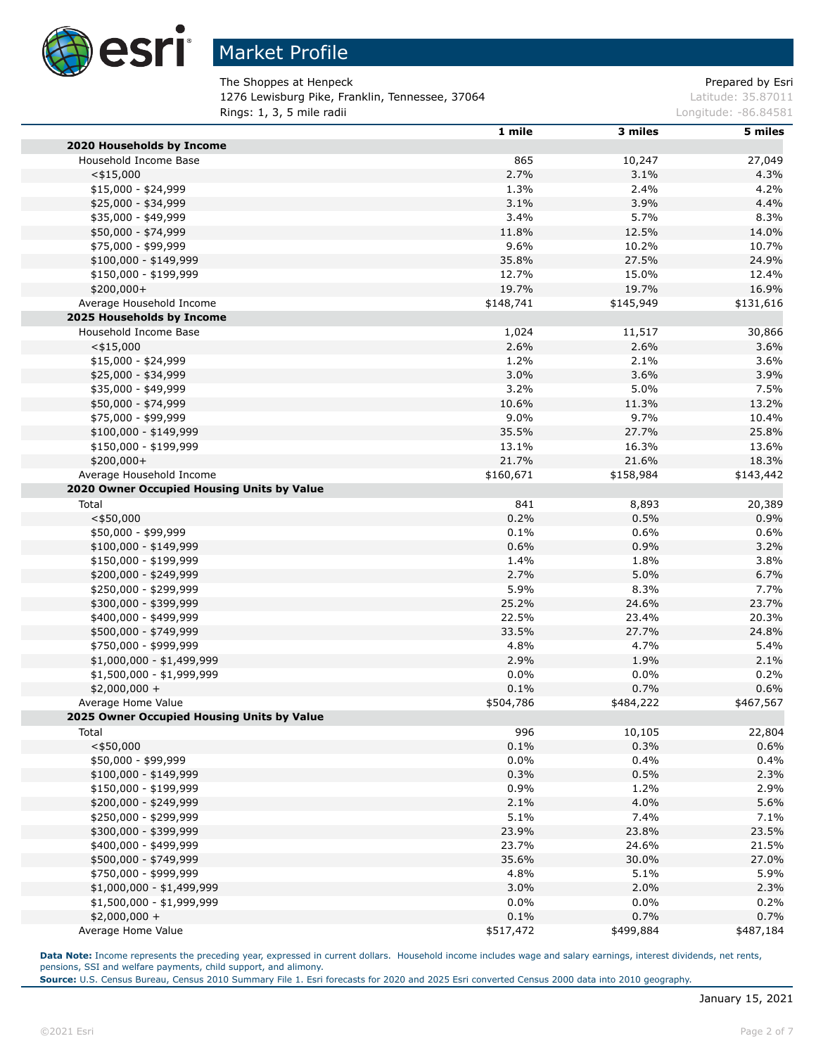

The Shoppes at Henpeck and The Shoppes at Henpeck and Prepared by Esri 1276 Lewisburg Pike, Franklin, Tennessee, 37064 Latitude: 35.87011 **Rings: 1, 3, 5 mile radii Longitude: -86.84581 Longitude: -86.84581** 

|                                                                        | 1 mile    | 3 miles   | 5 miles   |
|------------------------------------------------------------------------|-----------|-----------|-----------|
| 2020 Households by Income                                              |           |           |           |
| Household Income Base                                                  | 865       | 10,247    | 27,049    |
| $<$ \$15,000                                                           | 2.7%      | 3.1%      | 4.3%      |
| $$15,000 - $24,999$                                                    | 1.3%      | 2.4%      | 4.2%      |
| \$25,000 - \$34,999                                                    | 3.1%      | 3.9%      | 4.4%      |
| \$35,000 - \$49,999                                                    | 3.4%      | 5.7%      | 8.3%      |
| \$50,000 - \$74,999                                                    | 11.8%     | 12.5%     | 14.0%     |
| \$75,000 - \$99,999                                                    | 9.6%      | 10.2%     | 10.7%     |
| $$100,000 - $149,999$                                                  | 35.8%     | 27.5%     | 24.9%     |
| \$150,000 - \$199,999                                                  | 12.7%     | 15.0%     | 12.4%     |
| \$200,000+                                                             | 19.7%     | 19.7%     | 16.9%     |
| Average Household Income                                               | \$148,741 | \$145,949 | \$131,616 |
| 2025 Households by Income                                              |           |           |           |
| Household Income Base                                                  | 1,024     | 11,517    | 30,866    |
| $<$ \$15,000                                                           | 2.6%      | 2.6%      | 3.6%      |
| \$15,000 - \$24,999                                                    | 1.2%      | 2.1%      | 3.6%      |
| \$25,000 - \$34,999                                                    | 3.0%      | 3.6%      | 3.9%      |
| \$35,000 - \$49,999                                                    | 3.2%      | 5.0%      | 7.5%      |
| \$50,000 - \$74,999                                                    | 10.6%     | 11.3%     | 13.2%     |
| \$75,000 - \$99,999                                                    | 9.0%      | 9.7%      | 10.4%     |
| $$100,000 - $149,999$                                                  | 35.5%     | 27.7%     | 25.8%     |
| \$150,000 - \$199,999                                                  | 13.1%     | 16.3%     | 13.6%     |
| \$200,000+                                                             | 21.7%     | 21.6%     | 18.3%     |
|                                                                        | \$160,671 | \$158,984 |           |
| Average Household Income<br>2020 Owner Occupied Housing Units by Value |           |           | \$143,442 |
|                                                                        |           |           |           |
| Total                                                                  | 841       | 8,893     | 20,389    |
| $<$ \$50,000                                                           | 0.2%      | 0.5%      | 0.9%      |
| \$50,000 - \$99,999                                                    | 0.1%      | 0.6%      | 0.6%      |
| $$100,000 - $149,999$                                                  | 0.6%      | 0.9%      | 3.2%      |
| \$150,000 - \$199,999                                                  | 1.4%      | 1.8%      | 3.8%      |
| \$200,000 - \$249,999                                                  | 2.7%      | 5.0%      | 6.7%      |
| \$250,000 - \$299,999                                                  | 5.9%      | 8.3%      | 7.7%      |
| \$300,000 - \$399,999                                                  | 25.2%     | 24.6%     | 23.7%     |
| \$400,000 - \$499,999                                                  | 22.5%     | 23.4%     | 20.3%     |
| \$500,000 - \$749,999                                                  | 33.5%     | 27.7%     | 24.8%     |
| \$750,000 - \$999,999                                                  | 4.8%      | 4.7%      | 5.4%      |
| \$1,000,000 - \$1,499,999                                              | 2.9%      | 1.9%      | 2.1%      |
| \$1,500,000 - \$1,999,999                                              | 0.0%      | 0.0%      | 0.2%      |
| $$2,000,000 +$                                                         | 0.1%      | 0.7%      | 0.6%      |
| Average Home Value                                                     | \$504,786 | \$484,222 | \$467,567 |
| 2025 Owner Occupied Housing Units by Value                             |           |           |           |
| Total                                                                  | 996       | 10,105    | 22,804    |
| $<$ \$50,000                                                           | 0.1%      | 0.3%      | 0.6%      |
| \$50,000 - \$99,999                                                    | 0.0%      | 0.4%      | 0.4%      |
| $$100,000 - $149,999$                                                  | 0.3%      | 0.5%      | 2.3%      |
| \$150,000 - \$199,999                                                  | 0.9%      | 1.2%      | 2.9%      |
| \$200,000 - \$249,999                                                  | 2.1%      | 4.0%      | 5.6%      |
| \$250,000 - \$299,999                                                  | 5.1%      | 7.4%      | 7.1%      |
| \$300,000 - \$399,999                                                  | 23.9%     | 23.8%     | 23.5%     |
| \$400,000 - \$499,999                                                  | 23.7%     | 24.6%     | 21.5%     |
| \$500,000 - \$749,999                                                  | 35.6%     | 30.0%     | 27.0%     |
| \$750,000 - \$999,999                                                  | 4.8%      | 5.1%      | 5.9%      |
| $$1,000,000 - $1,499,999$                                              | 3.0%      | 2.0%      | 2.3%      |
| \$1,500,000 - \$1,999,999                                              | 0.0%      | 0.0%      | 0.2%      |
| $$2,000,000 +$                                                         | 0.1%      | 0.7%      | 0.7%      |
| Average Home Value                                                     | \$517,472 | \$499,884 | \$487,184 |

**Data Note:** Income represents the preceding year, expressed in current dollars. Household income includes wage and salary earnings, interest dividends, net rents, pensions, SSI and welfare payments, child support, and alimony.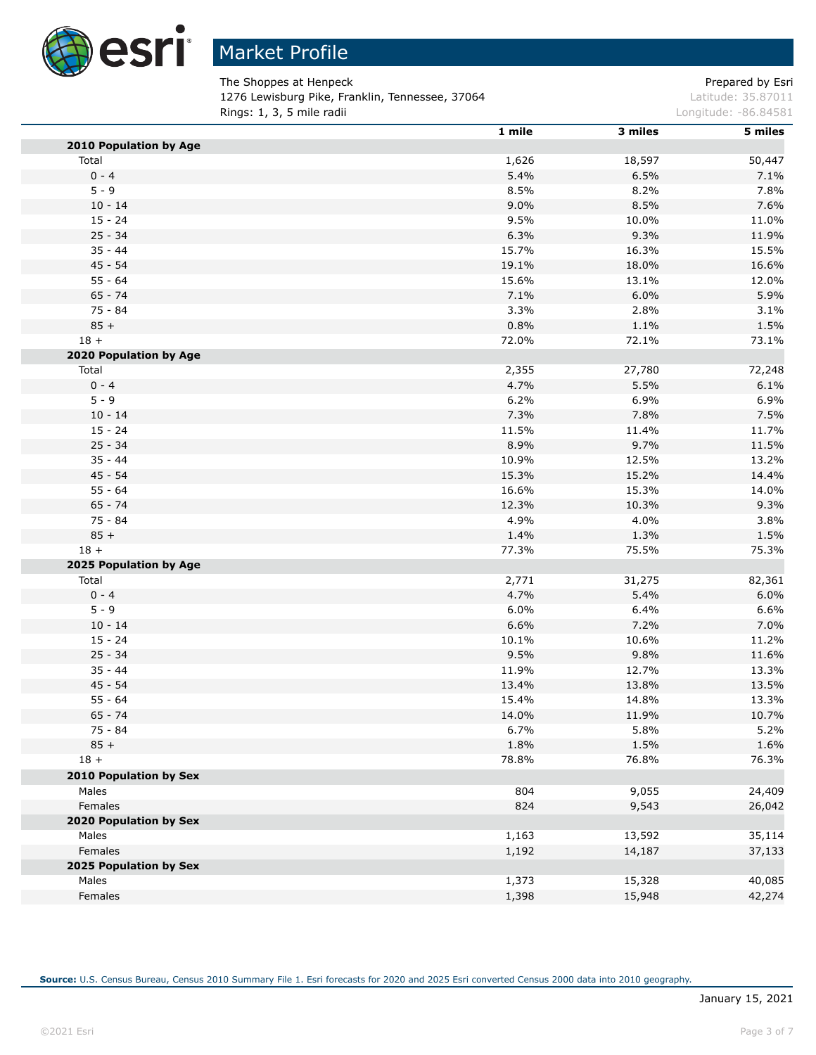

The Shoppes at Henpeck and The Shoppes at Henpeck and Prepared by Esri 1276 Lewisburg Pike, Franklin, Tennessee, 37064 Latitude: 35.87011 **Rings: 1, 3, 5 mile radii Constanting Constanting Constanting Constanting Constanting Constanting Constanting Constanting Constanting Constanting Constanting Constanting Constanting Constanting Constanting Constanting C** 

|                        | 1 mile | 3 miles | 5 miles |
|------------------------|--------|---------|---------|
| 2010 Population by Age |        |         |         |
| Total                  | 1,626  | 18,597  | 50,447  |
| $0 - 4$                | 5.4%   | 6.5%    | 7.1%    |
| $5 - 9$                | 8.5%   | 8.2%    | 7.8%    |
| $10 - 14$              | 9.0%   | 8.5%    | 7.6%    |
| $15 - 24$              | 9.5%   | 10.0%   | 11.0%   |
| $25 - 34$              | 6.3%   | 9.3%    | 11.9%   |
| $35 - 44$              | 15.7%  | 16.3%   | 15.5%   |
| $45 - 54$              | 19.1%  | 18.0%   | 16.6%   |
| $55 - 64$              | 15.6%  | 13.1%   | 12.0%   |
| $65 - 74$              | 7.1%   | 6.0%    | 5.9%    |
| $75 - 84$              | 3.3%   | 2.8%    | 3.1%    |
| $85 +$                 | 0.8%   | 1.1%    | 1.5%    |
| $18 +$                 | 72.0%  | 72.1%   | 73.1%   |
| 2020 Population by Age |        |         |         |
| Total                  | 2,355  | 27,780  | 72,248  |
| $0 - 4$                | 4.7%   | 5.5%    | 6.1%    |
| $5 - 9$                | 6.2%   | 6.9%    | 6.9%    |
| $10 - 14$              | 7.3%   | 7.8%    | 7.5%    |
| $15 - 24$              | 11.5%  | 11.4%   | 11.7%   |
| $25 - 34$              | 8.9%   | 9.7%    | 11.5%   |
| $35 - 44$              | 10.9%  | 12.5%   | 13.2%   |
| $45 - 54$              | 15.3%  | 15.2%   | 14.4%   |
| $55 - 64$              | 16.6%  | 15.3%   | 14.0%   |
| $65 - 74$              | 12.3%  | 10.3%   | 9.3%    |
| $75 - 84$              | 4.9%   | 4.0%    | 3.8%    |
| $85 +$                 | 1.4%   | 1.3%    | 1.5%    |
| $18 +$                 | 77.3%  | 75.5%   | 75.3%   |
| 2025 Population by Age |        |         |         |
| Total                  | 2,771  | 31,275  | 82,361  |
| $0 - 4$                | 4.7%   | 5.4%    | 6.0%    |
| $5 - 9$                | 6.0%   | 6.4%    | 6.6%    |
| $10 - 14$              | 6.6%   | 7.2%    | 7.0%    |
| $15 - 24$              | 10.1%  | 10.6%   | 11.2%   |
| $25 - 34$              | 9.5%   | 9.8%    | 11.6%   |
| $35 - 44$              | 11.9%  | 12.7%   | 13.3%   |
| $45 - 54$              | 13.4%  | 13.8%   | 13.5%   |
| $55 - 64$              | 15.4%  | 14.8%   | 13.3%   |
| $65 - 74$              | 14.0%  | 11.9%   | 10.7%   |
| 75 - 84                | 6.7%   | 5.8%    | 5.2%    |
| $85 +$                 | 1.8%   | 1.5%    | 1.6%    |
| $18 +$                 | 78.8%  | 76.8%   | 76.3%   |
| 2010 Population by Sex |        |         |         |
| Males                  | 804    | 9,055   | 24,409  |
| Females                | 824    | 9,543   | 26,042  |
| 2020 Population by Sex |        |         |         |
| Males                  | 1,163  | 13,592  | 35,114  |
| Females                | 1,192  | 14,187  | 37,133  |
| 2025 Population by Sex |        |         |         |
| Males                  | 1,373  | 15,328  | 40,085  |
| Females                | 1,398  | 15,948  | 42,274  |
|                        |        |         |         |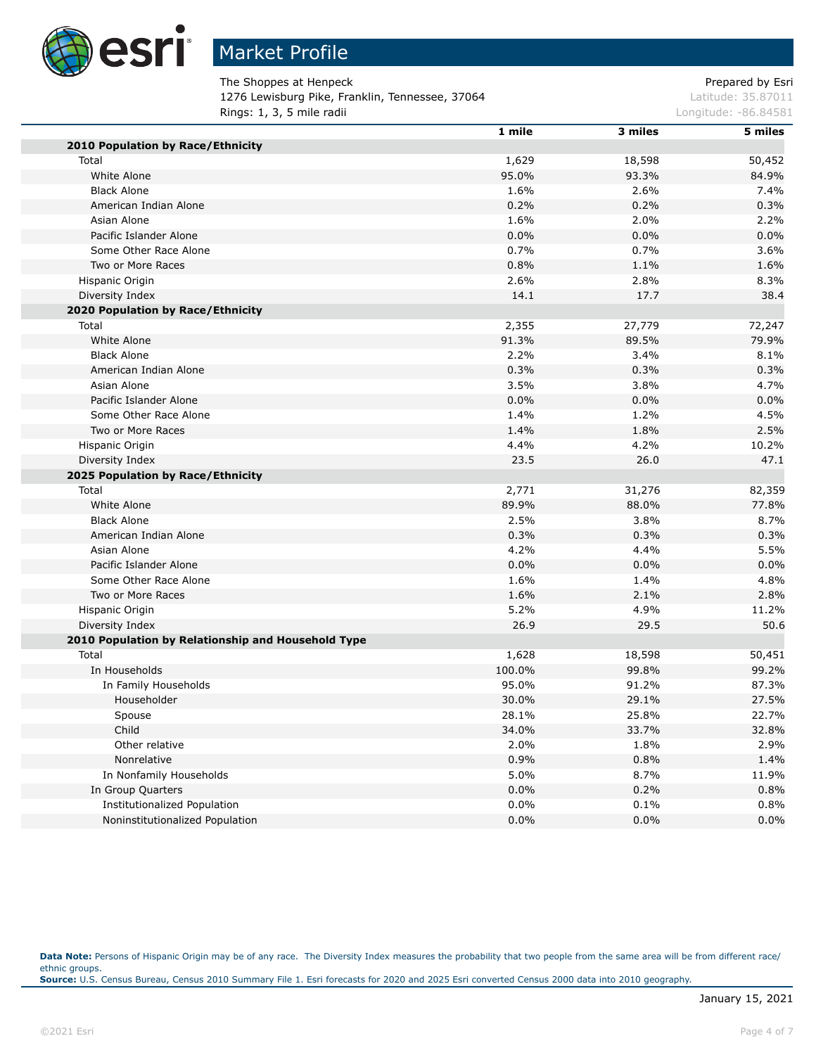

# Market Profile

The Shoppes at Henpeck and The Shoppes at Henpeck and Prepared by Esri 1276 Lewisburg Pike, Franklin, Tennessee, 37064 Latitude: 35.87011 **Rings: 1, 3, 5 mile radii Longitude: -86.84581 Longitude: -86.84581** 

|                                                    | 1 mile  | 3 miles | 5 miles |
|----------------------------------------------------|---------|---------|---------|
| 2010 Population by Race/Ethnicity                  |         |         |         |
| Total                                              | 1,629   | 18,598  | 50,452  |
| White Alone                                        | 95.0%   | 93.3%   | 84.9%   |
| <b>Black Alone</b>                                 | 1.6%    | 2.6%    | 7.4%    |
| American Indian Alone                              | 0.2%    | 0.2%    | 0.3%    |
| Asian Alone                                        | 1.6%    | 2.0%    | 2.2%    |
| Pacific Islander Alone                             | 0.0%    | 0.0%    | 0.0%    |
| Some Other Race Alone                              | 0.7%    | 0.7%    | 3.6%    |
| Two or More Races                                  | 0.8%    | 1.1%    | 1.6%    |
| Hispanic Origin                                    | 2.6%    | 2.8%    | 8.3%    |
| Diversity Index                                    | 14.1    | 17.7    | 38.4    |
| 2020 Population by Race/Ethnicity                  |         |         |         |
| Total                                              | 2,355   | 27,779  | 72,247  |
| White Alone                                        | 91.3%   | 89.5%   | 79.9%   |
| <b>Black Alone</b>                                 | 2.2%    | 3.4%    | 8.1%    |
| American Indian Alone                              | 0.3%    | 0.3%    | 0.3%    |
| Asian Alone                                        | 3.5%    | 3.8%    | 4.7%    |
| Pacific Islander Alone                             | 0.0%    | 0.0%    | 0.0%    |
| Some Other Race Alone                              | 1.4%    | 1.2%    | 4.5%    |
| Two or More Races                                  | 1.4%    | 1.8%    | 2.5%    |
| Hispanic Origin                                    | 4.4%    | 4.2%    | 10.2%   |
| Diversity Index                                    | 23.5    | 26.0    | 47.1    |
| 2025 Population by Race/Ethnicity                  |         |         |         |
| Total                                              | 2,771   | 31,276  | 82,359  |
| White Alone                                        | 89.9%   | 88.0%   | 77.8%   |
| <b>Black Alone</b>                                 | 2.5%    | 3.8%    | 8.7%    |
| American Indian Alone                              | 0.3%    | 0.3%    | 0.3%    |
| Asian Alone                                        | 4.2%    | 4.4%    | 5.5%    |
| Pacific Islander Alone                             | 0.0%    | 0.0%    | 0.0%    |
| Some Other Race Alone                              | 1.6%    | 1.4%    | 4.8%    |
| Two or More Races                                  | 1.6%    | 2.1%    | 2.8%    |
| Hispanic Origin                                    | 5.2%    | 4.9%    | 11.2%   |
| Diversity Index                                    | 26.9    | 29.5    | 50.6    |
| 2010 Population by Relationship and Household Type |         |         |         |
| Total                                              | 1,628   | 18,598  | 50,451  |
| In Households                                      | 100.0%  | 99.8%   | 99.2%   |
| In Family Households                               | 95.0%   | 91.2%   | 87.3%   |
| Householder                                        | 30.0%   | 29.1%   | 27.5%   |
| Spouse                                             | 28.1%   | 25.8%   | 22.7%   |
| Child                                              | 34.0%   | 33.7%   | 32.8%   |
| Other relative                                     | 2.0%    | 1.8%    | 2.9%    |
| Nonrelative                                        | 0.9%    | 0.8%    | 1.4%    |
| In Nonfamily Households                            | 5.0%    | 8.7%    | 11.9%   |
| In Group Quarters                                  | 0.0%    | 0.2%    | 0.8%    |
| Institutionalized Population                       | $0.0\%$ | 0.1%    | 0.8%    |
| Noninstitutionalized Population                    | 0.0%    | 0.0%    | 0.0%    |

Data Note: Persons of Hispanic Origin may be of any race. The Diversity Index measures the probability that two people from the same area will be from different race/ ethnic groups. **Source:** U.S. Census Bureau, Census 2010 Summary File 1. Esri forecasts for 2020 and 2025 Esri converted Census 2000 data into 2010 geography.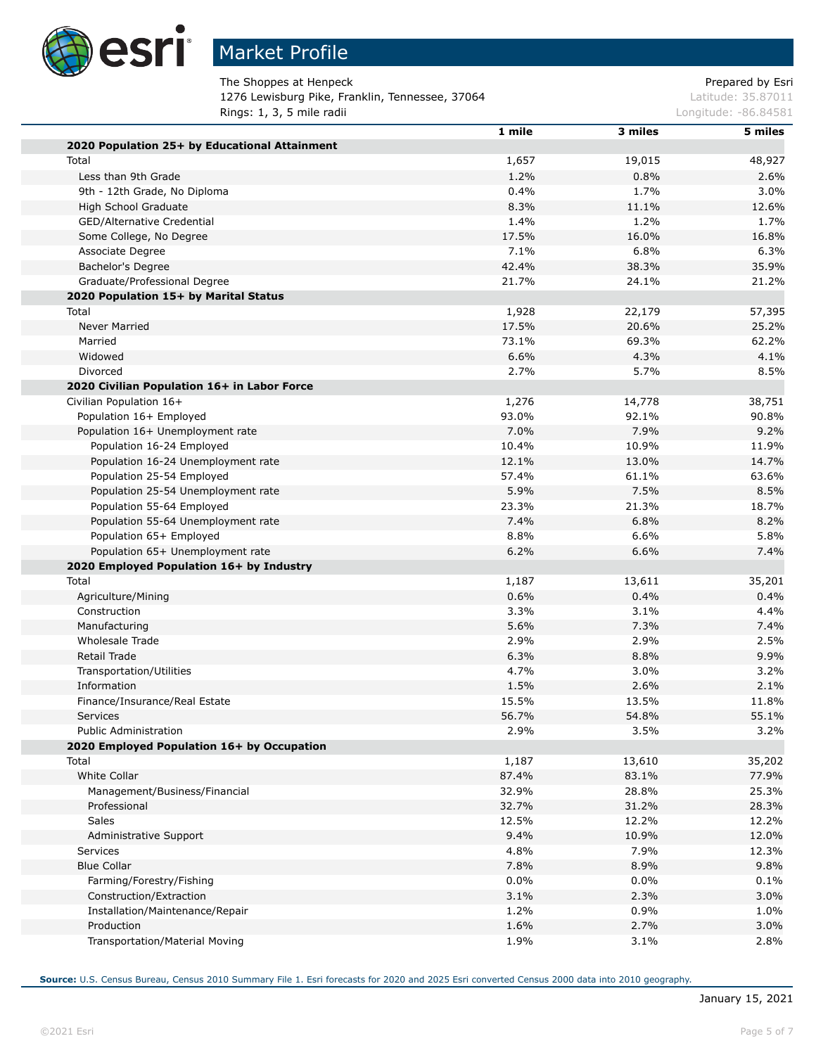

T.

m

T.

## Market Profile

The Shoppes at Henpeck and The Shoppes at Henpeck and Prepared by Esri 1276 Lewisburg Pike, Franklin, Tennessee, 37064 Latitude: 35.87011 **Rings: 1, 3, 5 mile radii Longitude: -86.84581 Congitude: -86.84581** 

|                                               | 1 mile | 3 miles | 5 miles |
|-----------------------------------------------|--------|---------|---------|
| 2020 Population 25+ by Educational Attainment |        |         |         |
| Total                                         | 1,657  | 19,015  | 48,927  |
| Less than 9th Grade                           | 1.2%   | 0.8%    | 2.6%    |
| 9th - 12th Grade, No Diploma                  | 0.4%   | 1.7%    | 3.0%    |
| High School Graduate                          | 8.3%   | 11.1%   | 12.6%   |
| GED/Alternative Credential                    | 1.4%   | 1.2%    | 1.7%    |
| Some College, No Degree                       | 17.5%  | 16.0%   | 16.8%   |
| Associate Degree                              | 7.1%   | 6.8%    | 6.3%    |
| <b>Bachelor's Degree</b>                      | 42.4%  | 38.3%   | 35.9%   |
| Graduate/Professional Degree                  | 21.7%  | 24.1%   | 21.2%   |
| 2020 Population 15+ by Marital Status         |        |         |         |
| Total                                         | 1,928  | 22,179  | 57,395  |
| Never Married                                 | 17.5%  | 20.6%   | 25.2%   |
| Married                                       | 73.1%  | 69.3%   | 62.2%   |
| Widowed                                       | 6.6%   | 4.3%    | 4.1%    |
| Divorced                                      | 2.7%   | 5.7%    | 8.5%    |
| 2020 Civilian Population 16+ in Labor Force   |        |         |         |
| Civilian Population 16+                       | 1,276  | 14,778  | 38,751  |
| Population 16+ Employed                       | 93.0%  | 92.1%   | 90.8%   |
| Population 16+ Unemployment rate              | 7.0%   | 7.9%    | 9.2%    |
| Population 16-24 Employed                     | 10.4%  | 10.9%   | 11.9%   |
| Population 16-24 Unemployment rate            | 12.1%  | 13.0%   | 14.7%   |
| Population 25-54 Employed                     | 57.4%  | 61.1%   | 63.6%   |
| Population 25-54 Unemployment rate            | 5.9%   | 7.5%    | 8.5%    |
| Population 55-64 Employed                     | 23.3%  | 21.3%   | 18.7%   |
| Population 55-64 Unemployment rate            | 7.4%   | 6.8%    | 8.2%    |
| Population 65+ Employed                       | 8.8%   | 6.6%    | 5.8%    |
| Population 65+ Unemployment rate              | 6.2%   | 6.6%    | 7.4%    |
| 2020 Employed Population 16+ by Industry      |        |         |         |
| Total                                         | 1,187  | 13,611  | 35,201  |
| Agriculture/Mining                            | 0.6%   | 0.4%    | 0.4%    |
| Construction                                  | 3.3%   | 3.1%    | 4.4%    |
| Manufacturing                                 | 5.6%   | 7.3%    | 7.4%    |
| Wholesale Trade                               | 2.9%   | 2.9%    | 2.5%    |
| Retail Trade                                  | 6.3%   | 8.8%    | 9.9%    |
| Transportation/Utilities                      | 4.7%   | 3.0%    | 3.2%    |
| Information                                   | 1.5%   | 2.6%    | 2.1%    |
| Finance/Insurance/Real Estate                 | 15.5%  | 13.5%   | 11.8%   |
| Services                                      | 56.7%  | 54.8%   | 55.1%   |
| <b>Public Administration</b>                  | 2.9%   | 3.5%    | 3.2%    |
| 2020 Employed Population 16+ by Occupation    |        |         |         |
| Total                                         | 1,187  | 13,610  | 35,202  |
| White Collar                                  | 87.4%  | 83.1%   | 77.9%   |
| Management/Business/Financial                 | 32.9%  | 28.8%   | 25.3%   |
| Professional                                  | 32.7%  | 31.2%   | 28.3%   |
| Sales                                         | 12.5%  | 12.2%   | 12.2%   |
| Administrative Support                        | 9.4%   | 10.9%   | 12.0%   |
| Services                                      | 4.8%   | 7.9%    | 12.3%   |
| <b>Blue Collar</b>                            | 7.8%   | 8.9%    | 9.8%    |
| Farming/Forestry/Fishing                      | 0.0%   | 0.0%    | 0.1%    |
| Construction/Extraction                       | 3.1%   | 2.3%    | 3.0%    |
| Installation/Maintenance/Repair               | 1.2%   | 0.9%    | 1.0%    |
| Production                                    | 1.6%   | 2.7%    | 3.0%    |
| Transportation/Material Moving                | 1.9%   | 3.1%    | 2.8%    |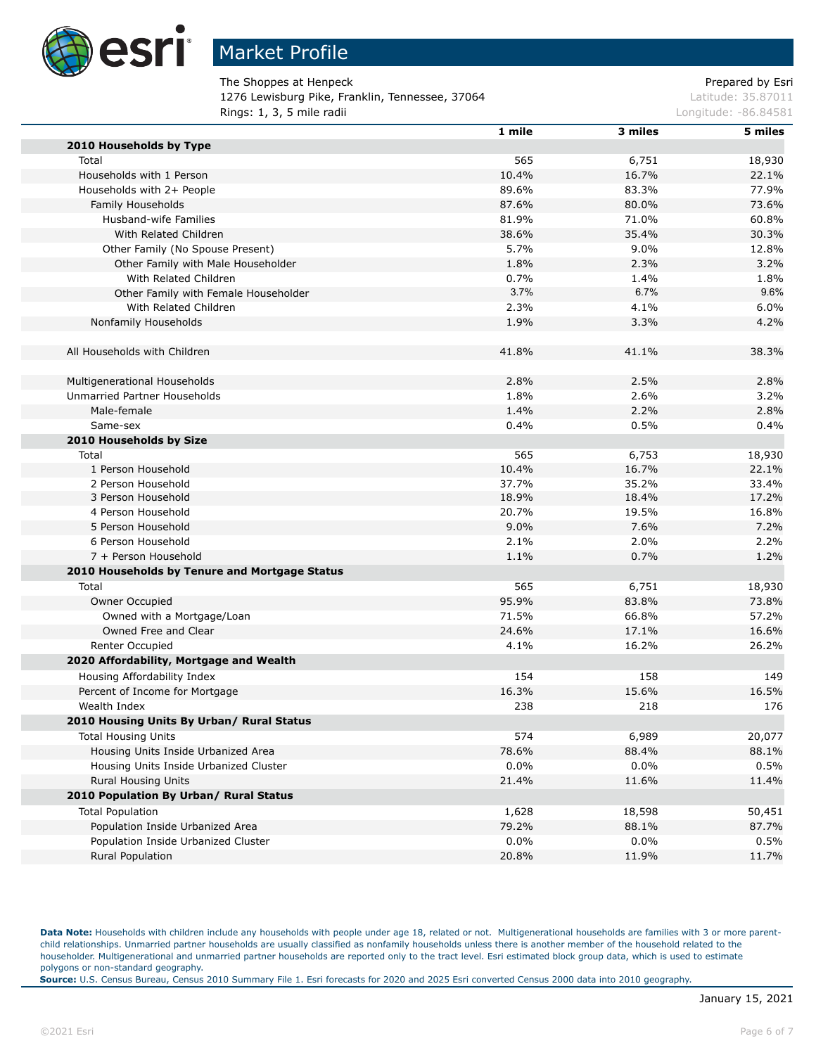

The Shoppes at Henpeck **Prepared by Esri** Prepared by Esri 1276 Lewisburg Pike, Franklin, Tennessee, 37064 Latitude: 35.87011 **Rings: 1, 3, 5 mile radii Longitude: -86.84581 Longitude: -86.84581** 

|                                               | 1 mile | 3 miles | 5 miles |
|-----------------------------------------------|--------|---------|---------|
| 2010 Households by Type                       |        |         |         |
| Total                                         | 565    | 6,751   | 18,930  |
| Households with 1 Person                      | 10.4%  | 16.7%   | 22.1%   |
| Households with 2+ People                     | 89.6%  | 83.3%   | 77.9%   |
| Family Households                             | 87.6%  | 80.0%   | 73.6%   |
| Husband-wife Families                         | 81.9%  | 71.0%   | 60.8%   |
| With Related Children                         | 38.6%  | 35.4%   | 30.3%   |
| Other Family (No Spouse Present)              | 5.7%   | 9.0%    | 12.8%   |
| Other Family with Male Householder            | 1.8%   | 2.3%    | 3.2%    |
| With Related Children                         | 0.7%   | 1.4%    | 1.8%    |
| Other Family with Female Householder          | 3.7%   | 6.7%    | 9.6%    |
| With Related Children                         | 2.3%   | 4.1%    | 6.0%    |
| Nonfamily Households                          | 1.9%   | 3.3%    | 4.2%    |
|                                               |        |         |         |
| All Households with Children                  | 41.8%  | 41.1%   | 38.3%   |
|                                               |        |         |         |
| Multigenerational Households                  | 2.8%   | 2.5%    | 2.8%    |
| Unmarried Partner Households                  | 1.8%   | 2.6%    | 3.2%    |
| Male-female                                   | 1.4%   | 2.2%    | 2.8%    |
| Same-sex                                      | 0.4%   | 0.5%    | 0.4%    |
| 2010 Households by Size                       |        |         |         |
| Total                                         | 565    | 6,753   | 18,930  |
| 1 Person Household                            | 10.4%  | 16.7%   | 22.1%   |
| 2 Person Household                            | 37.7%  | 35.2%   | 33.4%   |
| 3 Person Household                            | 18.9%  | 18.4%   | 17.2%   |
| 4 Person Household                            | 20.7%  | 19.5%   | 16.8%   |
| 5 Person Household                            | 9.0%   | 7.6%    | 7.2%    |
| 6 Person Household                            | 2.1%   | 2.0%    | 2.2%    |
| 7 + Person Household                          | 1.1%   | 0.7%    | 1.2%    |
| 2010 Households by Tenure and Mortgage Status |        |         |         |
| Total                                         | 565    | 6,751   | 18,930  |
| Owner Occupied                                | 95.9%  | 83.8%   | 73.8%   |
| Owned with a Mortgage/Loan                    | 71.5%  | 66.8%   | 57.2%   |
| Owned Free and Clear                          | 24.6%  | 17.1%   | 16.6%   |
| Renter Occupied                               | 4.1%   | 16.2%   | 26.2%   |
| 2020 Affordability, Mortgage and Wealth       |        |         |         |
| Housing Affordability Index                   | 154    | 158     | 149     |
| Percent of Income for Mortgage                | 16.3%  | 15.6%   | 16.5%   |
| Wealth Index                                  | 238    | 218     | 176     |
| 2010 Housing Units By Urban/ Rural Status     |        |         |         |
| <b>Total Housing Units</b>                    | 574    | 6,989   | 20,077  |
| Housing Units Inside Urbanized Area           | 78.6%  | 88.4%   | 88.1%   |
| Housing Units Inside Urbanized Cluster        | 0.0%   | $0.0\%$ | 0.5%    |
| <b>Rural Housing Units</b>                    | 21.4%  | 11.6%   | 11.4%   |
| 2010 Population By Urban/ Rural Status        |        |         |         |
| <b>Total Population</b>                       | 1,628  | 18,598  | 50,451  |
| Population Inside Urbanized Area              | 79.2%  | 88.1%   | 87.7%   |
| Population Inside Urbanized Cluster           | 0.0%   | $0.0\%$ | 0.5%    |
| Rural Population                              | 20.8%  | 11.9%   | 11.7%   |

Data Note: Households with children include any households with people under age 18, related or not. Multigenerational households are families with 3 or more parentchild relationships. Unmarried partner households are usually classified as nonfamily households unless there is another member of the household related to the householder. Multigenerational and unmarried partner households are reported only to the tract level. Esri estimated block group data, which is used to estimate polygons or non-standard geography.